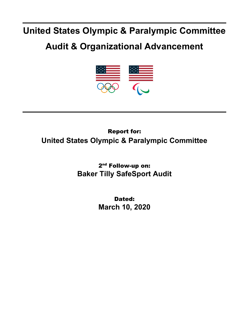## **United States Olympic & Paralympic Committee**

## **Audit & Organizational Advancement**



## Report for: **United States Olympic & Paralympic Committee**

2<sup>nd</sup> Follow-up on: **Baker Tilly SafeSport Audit**

> Dated: **March 10, 2020**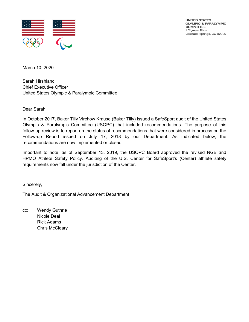

**UNITED STATES OLYMPIC & PARALYMPIC COMMITTEE** 1 Olympic Plaza Colorado Springs, CO 80909

March 10, 2020

Sarah Hirshland Chief Executive Officer United States Olympic & Paralympic Committee

Dear Sarah,

In October 2017, Baker Tilly Virchow Krause (Baker Tilly) issued a SafeSport audit of the United States Olympic & Paralympic Committee (USOPC) that included recommendations. The purpose of this follow-up review is to report on the status of recommendations that were considered in process on the Follow-up Report issued on July 17, 2018 by our Department. As indicated below, the recommendations are now implemented or closed.

Important to note, as of September 13, 2019, the USOPC Board approved the revised NGB and HPMO Athlete Safety Policy. Auditing of the U.S. Center for SafeSport's (Center) athlete safety requirements now fall under the jurisdiction of the Center.

Sincerely,

The Audit & Organizational Advancement Department

cc: Wendy Guthrie Nicole Deal Rick Adams Chris McCleary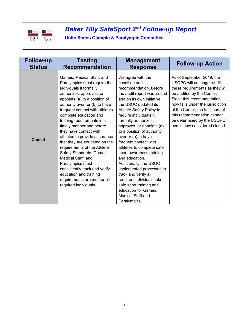

## *Baker Tilly SafeSport 2nd Follow-up Report*

**Unite States Olympic & Paralympic Committee**

| <b>Follow-up</b> | <b>Testing</b>                                                                                                                                                                                                                                                                                                                                                                                                                                                                                                                                                                                                                  | <b>Management</b>                                                                                                                                                                                                                                                                                                                                                                                                                                                                                                                                                                                                        | <b>Follow-up Action</b>                                                                                                                                                                                                                                                                                                   |
|------------------|---------------------------------------------------------------------------------------------------------------------------------------------------------------------------------------------------------------------------------------------------------------------------------------------------------------------------------------------------------------------------------------------------------------------------------------------------------------------------------------------------------------------------------------------------------------------------------------------------------------------------------|--------------------------------------------------------------------------------------------------------------------------------------------------------------------------------------------------------------------------------------------------------------------------------------------------------------------------------------------------------------------------------------------------------------------------------------------------------------------------------------------------------------------------------------------------------------------------------------------------------------------------|---------------------------------------------------------------------------------------------------------------------------------------------------------------------------------------------------------------------------------------------------------------------------------------------------------------------------|
| <b>Status</b>    | <b>Recommendation</b>                                                                                                                                                                                                                                                                                                                                                                                                                                                                                                                                                                                                           | <b>Response</b>                                                                                                                                                                                                                                                                                                                                                                                                                                                                                                                                                                                                          |                                                                                                                                                                                                                                                                                                                           |
| <b>Closed</b>    | Games, Medical Staff, and<br>Paralympics must require that<br>individuals it formally<br>authorizes, approves, or<br>appoints (a) to a position of<br>authority over, or (b) to have<br>frequent contact with athletes<br>complete education and<br>training requirements in a<br>timely manner and before<br>they have contact with<br>athletes to provide assurance<br>that they are educated on the<br>requirements of the Athlete<br>Safety Standards. Games,<br>Medical Staff, and<br>Paralympics must<br>consistently track and verify<br>education and training<br>requirements are met for all<br>required individuals. | We agree with the<br>condition and<br>recommendation. Before<br>the audit report was issued<br>and on its own initiative,<br>the USOC updated its<br>Athlete Safety Policy to<br>require individuals it<br>formally authorizes,<br>approves, or appoints (a)<br>to a position of authority<br>over or (b) to have<br>frequent contact with<br>athletes to complete safe<br>sport awareness training<br>and education.<br>Additionally, the USOC<br>implemented processes to<br>track and verify all<br>required individuals take<br>safe sport training and<br>education for Games,<br>Medical Staff and<br>Paralympics. | As of September 2019, the<br>USOPC will no longer audit<br>these requirements as they will<br>be audited by the Center.<br>Since this recommendation<br>now falls under the jurisdiction<br>of the Center, the fulfilment of<br>this recommendation cannot<br>be determined by the USOPC<br>and is now considered closed. |